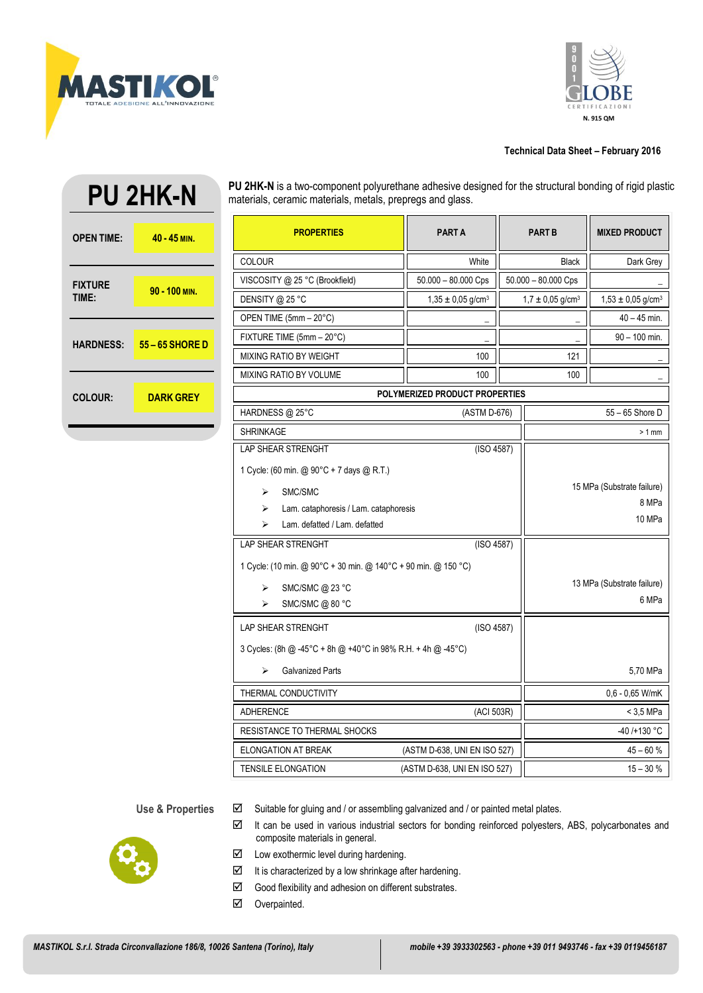



# **Technical Data Sheet – February 2016**

| <b>OPEN TIME:</b>       | $40 - 45$ MIN.   |
|-------------------------|------------------|
| <b>FIXTURE</b><br>TIME: | 90 - 100 MIN.    |
| <b>HARDNESS:</b>        | 55 - 65 SHORE D  |
| <b>COLOUR:</b>          | <b>DARK GREY</b> |

**PU 2HK-N**

**PU 2HK-N** is a two-component polyurethane adhesive designed for the structural bonding of rigid plastic materials, ceramic materials, metals, prepregs and glass.

| <b>PROPERTIES</b>                                              | <b>PART A</b>                     | <b>PART B</b>                    |                            | <b>MIXED PRODUCT</b>              |  |
|----------------------------------------------------------------|-----------------------------------|----------------------------------|----------------------------|-----------------------------------|--|
| <b>COLOUR</b>                                                  | White                             | <b>Black</b>                     |                            | Dark Grey                         |  |
| VISCOSITY @ 25 °C (Brookfield)                                 | $50.000 - 80.000$ Cps             | $50.000 - 80.000$ Cps            |                            |                                   |  |
| DENSITY @ 25 °C                                                | $1,35 \pm 0,05$ g/cm <sup>3</sup> | $1,7 \pm 0,05$ g/cm <sup>3</sup> |                            | $1,53 \pm 0,05$ g/cm <sup>3</sup> |  |
| OPEN TIME (5mm - 20°C)                                         |                                   |                                  |                            | $40 - 45$ min.                    |  |
| FIXTURE TIME (5mm - 20°C)                                      |                                   |                                  |                            | $90 - 100$ min.                   |  |
| <b>MIXING RATIO BY WEIGHT</b>                                  | 100                               | 121                              |                            |                                   |  |
| <b>MIXING RATIO BY VOLUME</b>                                  | 100                               |                                  | 100                        |                                   |  |
| POLYMERIZED PRODUCT PROPERTIES                                 |                                   |                                  |                            |                                   |  |
| HARDNESS @ 25°C                                                | (ASTM D-676)                      |                                  |                            | 55 - 65 Shore D                   |  |
| <b>SHRINKAGE</b>                                               |                                   |                                  | $>1$ mm                    |                                   |  |
| <b>LAP SHEAR STRENGHT</b>                                      |                                   | (ISO 4587)                       |                            |                                   |  |
| 1 Cycle: (60 min. @ 90°C + 7 days @ R.T.)                      |                                   |                                  |                            |                                   |  |
| SMC/SMC<br>⋗                                                   |                                   |                                  | 15 MPa (Substrate failure) |                                   |  |
| ➤<br>Lam. cataphoresis / Lam. cataphoresis                     |                                   |                                  | 8 MPa                      |                                   |  |
| Lam. defatted / Lam. defatted<br>⋗                             |                                   |                                  | 10 MPa                     |                                   |  |
| <b>LAP SHEAR STRENGHT</b><br>(ISO 4587)                        |                                   |                                  |                            |                                   |  |
| 1 Cycle: (10 min. @ 90°C + 30 min. @ 140°C + 90 min. @ 150 °C) |                                   |                                  |                            |                                   |  |
| SMC/SMC @ 23 °C<br>➤                                           |                                   |                                  | 13 MPa (Substrate failure) |                                   |  |
| 6 MPa<br>SMC/SMC @ 80 °C<br>➤                                  |                                   |                                  |                            |                                   |  |
| <b>LAP SHEAR STRENGHT</b><br>(ISO 4587)                        |                                   |                                  |                            |                                   |  |
| 3 Cycles: (8h @ -45°C + 8h @ +40°C in 98% R.H. + 4h @ -45°C)   |                                   |                                  |                            |                                   |  |
| ⋗<br><b>Galvanized Parts</b>                                   |                                   |                                  |                            | 5,70 MPa                          |  |
| THERMAL CONDUCTIVITY                                           |                                   |                                  |                            | 0,6 - 0,65 W/mK                   |  |
| <b>ADHERENCE</b><br>(ACI 503R)                                 |                                   |                                  | < 3,5 MPa                  |                                   |  |
| RESISTANCE TO THERMAL SHOCKS                                   |                                   |                                  | $-40/+130 °C$              |                                   |  |
| <b>ELONGATION AT BREAK</b><br>(ASTM D-638, UNI EN ISO 527)     |                                   |                                  | $45 - 60%$                 |                                   |  |
| <b>TENSILE ELONGATION</b><br>(ASTM D-638, UNI EN ISO 527)      |                                   |                                  |                            | $15 - 30%$                        |  |

Use & Properties  $\boxdot$  Suitable for gluing and / or assembling galvanized and / or painted metal plates.



- $\boxtimes$  It can be used in various industrial sectors for bonding reinforced polyesters, ABS, polycarbonates and composite materials in general.
- $\boxtimes$  Low exothermic level during hardening.
- It is characterized by a low shrinkage after hardening.
- $\boxtimes$  Good flexibility and adhesion on different substrates.
- Overpainted.